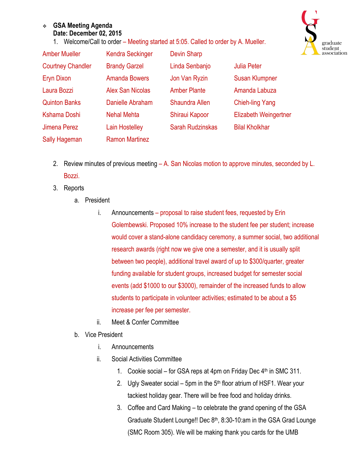## <sup>v</sup> **GSA Meeting Agenda Date: December 02, 2015**

1. Welcome/Call to order – Meeting started at 5:05. Called to order by A. Mueller.



| <b>Amber Mueller</b>     | <b>Kendra Seckinger</b> | <b>Devin Sharp</b>      |                        |
|--------------------------|-------------------------|-------------------------|------------------------|
| <b>Courtney Chandler</b> | <b>Brandy Garzel</b>    | Linda Senbanjo          | <b>Julia Peter</b>     |
| <b>Eryn Dixon</b>        | <b>Amanda Bowers</b>    | Jon Van Ryzin           | <b>Susan Klumpner</b>  |
| Laura Bozzi              | <b>Alex San Nicolas</b> | <b>Amber Plante</b>     | Amanda Labuza          |
| <b>Quinton Banks</b>     | Danielle Abraham        | <b>Shaundra Allen</b>   | <b>Chieh-ling Yang</b> |
| Kshama Doshi             | <b>Nehal Mehta</b>      | Shiraui Kapoor          | Elizabeth Weingertner  |
| Jimena Perez             | <b>Lain Hostelley</b>   | <b>Sarah Rudzinskas</b> | <b>Bilal Kholkhar</b>  |
| <b>Sally Hageman</b>     | <b>Ramon Martinez</b>   |                         |                        |

- 2. Review minutes of previous meeting A. San Nicolas motion to approve minutes, seconded by L. Bozzi.
- 3. Reports
	- a. President
		- i. Announcements proposal to raise student fees, requested by Erin Golembewski. Proposed 10% increase to the student fee per student; increase would cover a stand-alone candidacy ceremony, a summer social, two additional research awards (right now we give one a semester, and it is usually split between two people), additional travel award of up to \$300/quarter, greater funding available for student groups, increased budget for semester social events (add \$1000 to our \$3000), remainder of the increased funds to allow students to participate in volunteer activities; estimated to be about a \$5 increase per fee per semester.
		- ii. Meet & Confer Committee
	- b. Vice President
		- i. Announcements
		- ii. Social Activities Committee
			- 1. Cookie social for GSA reps at 4pm on Friday Dec  $4<sup>th</sup>$  in SMC 311.
			- 2. Ugly Sweater social 5pm in the  $5<sup>th</sup>$  floor atrium of HSF1. Wear your tackiest holiday gear. There will be free food and holiday drinks.
			- 3. Coffee and Card Making to celebrate the grand opening of the GSA Graduate Student Lounge!! Dec 8<sup>th</sup>, 8:30-10:am in the GSA Grad Lounge (SMC Room 305). We will be making thank you cards for the UMB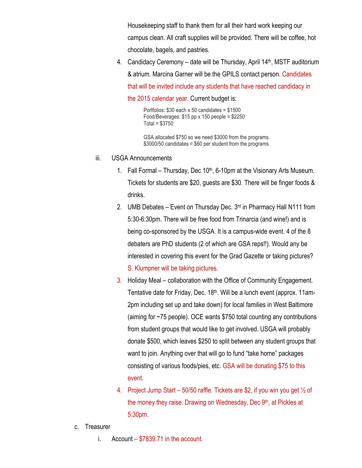Housekeeping staff to thank them for all their hard work keeping our campus clean. All craft supplies will be provided. There will be coffee, hot chocolate, bagels, and pastries.

4. Candidacy Ceremony – date will be Thursday, April 14<sup>th</sup>, MSTF auditorium & atrium. Marcina Garner will be the GPILS contact person. Candidates that will be invited include any students that have reached candidacy in

the 2015 calendar year. Current budget is:

Portfolios: \$30 each x 50 candidates = \$1500 Food/Beverages:  $$15$  pp x 150 people =  $$2250$ Total = \$3750

GSA allocated \$750 so we need \$3000 from the programs. \$3000/50 candidates = \$60 per student from the programs

- iii. USGA Announcements
	- 1. Fall Formal Thursday, Dec  $10<sup>th</sup>$ , 6-10pm at the Visionary Arts Museum. Tickets for students are \$20, guests are \$30. There will be finger foods & drinks.
	- 2. UMB Debates Event on Thursday Dec. 3<sup>rd</sup> in Pharmacy Hall N111 from 5:30-6:30pm. There will be free food from Trinarcia (and wine!) and is being co-sponsored by the USGA. It is a campus-wide event. 4 of the 8 debaters are PhD students (2 of which are GSA reps!!). Would any be interested in covering this event for the Grad Gazette or taking pictures?
		- S. Klumpner will be taking pictures.
	- 3. Holiday Meal collaboration with the Office of Community Engagement. Tentative date for Friday, Dec. 18th. Will be a lunch event (approx. 11am-2pm including set up and take down) for local families in West Baltimore (aiming for ~75 people). OCE wants \$750 total counting any contributions from student groups that would like to get involved. USGA will probably donate \$500, which leaves \$250 to split between any student groups that want to join. Anything over that will go to fund "take home" packages consisting of various foods/pies, etc. GSA will be donating \$75 to this event.
	- 4. Project Jump Start 50/50 raffle. Tickets are \$2, if you win you get  $\frac{1}{2}$  of the money they raise. Drawing on Wednesday, Dec 9<sup>th</sup>, at Pickles at 5:30pm.
- c. Treasurer
	- i. Account \$7839.71 in the account.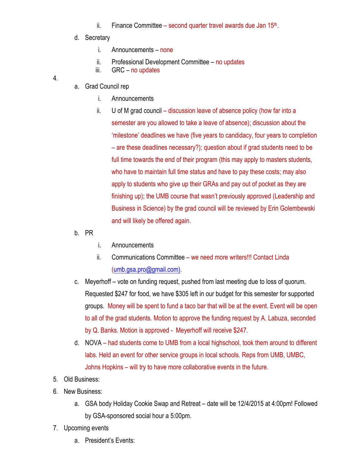- ii. Finance Committee second quarter travel awards due Jan  $15<sup>th</sup>$ .
- d. Secretary
	- i. Announcements none
	- ii. Professional Development Committee no updates
	- iii. GRC no updates

4.

- a. Grad Council rep
	- i. Announcements
	- ii. U of M grad council discussion leave of absence policy (how far into a semester are you allowed to take a leave of absence); discussion about the 'milestone' deadlines we have (five years to candidacy, four years to completion – are these deadlines necessary?); question about if grad students need to be full time towards the end of their program (this may apply to masters students, who have to maintain full time status and have to pay these costs; may also apply to students who give up their GRAs and pay out of pocket as they are finishing up); the UMB course that wasn't previously approved (Leadership and Business in Science) by the grad council will be reviewed by Erin Golembewski and will likely be offered again.
- b. PR
- i. Announcements
- ii. Communications Committee we need more writers!!! Contact Linda (umb.gsa.pro@gmail.com).
- c. Meyerhoff vote on funding request, pushed from last meeting due to loss of quorum. Requested \$247 for food, we have \$305 left in our budget for this semester for supported groups. Money will be spent to fund a taco bar that will be at the event. Event will be open to all of the grad students. Motion to approve the funding request by A. Labuza, seconded by Q. Banks. Motion is approved - Meyerhoff will receive \$247.
- d. NOVA had students come to UMB from a local highschool, took them around to different labs. Held an event for other service groups in local schools. Reps from UMB, UMBC, Johns Hopkins – will try to have more collaborative events in the future.
- 5. Old Business:
- 6. New Business:
	- a. GSA body Holiday Cookie Swap and Retreat date will be 12/4/2015 at 4:00pm! Followed by GSA-sponsored social hour a 5:00pm.
- 7. Upcoming events
	- a. President's Events: